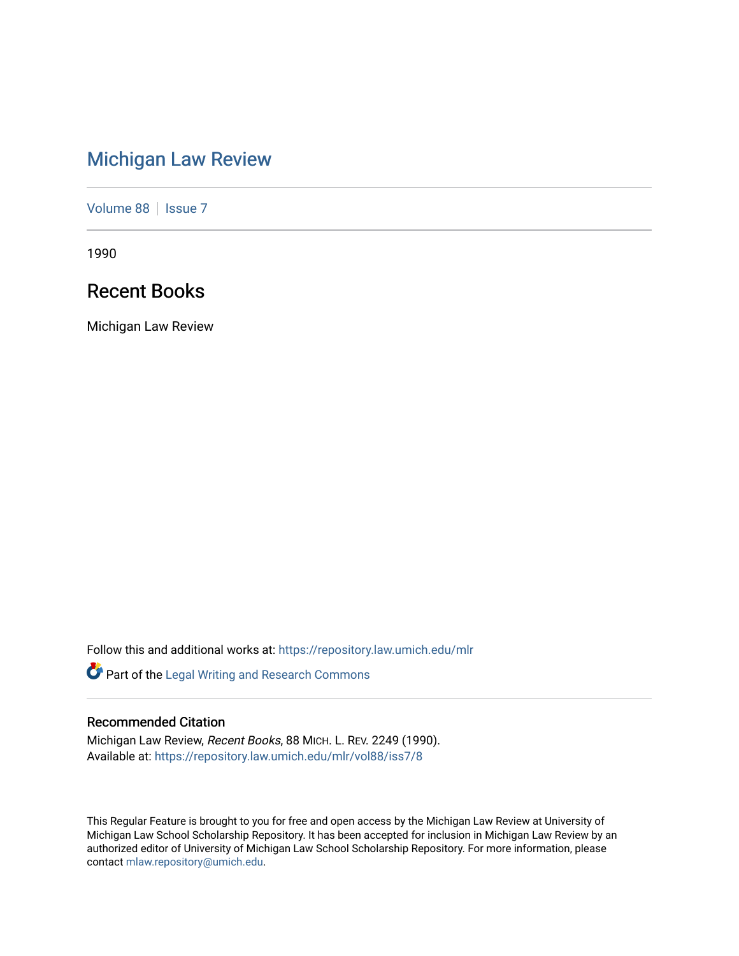# [Michigan Law Review](https://repository.law.umich.edu/mlr)

[Volume 88](https://repository.law.umich.edu/mlr/vol88) | [Issue 7](https://repository.law.umich.edu/mlr/vol88/iss7)

1990

# Recent Books

Michigan Law Review

Follow this and additional works at: [https://repository.law.umich.edu/mlr](https://repository.law.umich.edu/mlr?utm_source=repository.law.umich.edu%2Fmlr%2Fvol88%2Fiss7%2F8&utm_medium=PDF&utm_campaign=PDFCoverPages) 

Part of the [Legal Writing and Research Commons](http://network.bepress.com/hgg/discipline/614?utm_source=repository.law.umich.edu%2Fmlr%2Fvol88%2Fiss7%2F8&utm_medium=PDF&utm_campaign=PDFCoverPages) 

### Recommended Citation

Michigan Law Review, Recent Books, 88 MICH. L. REV. 2249 (1990). Available at: [https://repository.law.umich.edu/mlr/vol88/iss7/8](https://repository.law.umich.edu/mlr/vol88/iss7/8?utm_source=repository.law.umich.edu%2Fmlr%2Fvol88%2Fiss7%2F8&utm_medium=PDF&utm_campaign=PDFCoverPages)

This Regular Feature is brought to you for free and open access by the Michigan Law Review at University of Michigan Law School Scholarship Repository. It has been accepted for inclusion in Michigan Law Review by an authorized editor of University of Michigan Law School Scholarship Repository. For more information, please contact [mlaw.repository@umich.edu](mailto:mlaw.repository@umich.edu).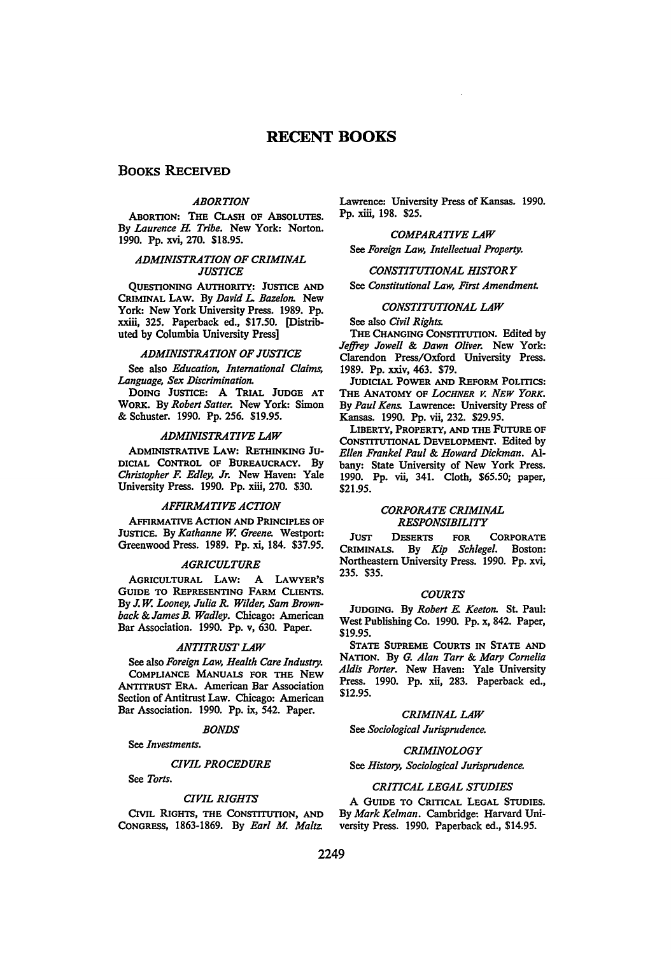### **RECENT BOOKS**

### **BOOKS RECEIVED**

#### *ABORTION*

ABORTION: THE CLASH OF ABSOLUTES. By *Laurence* H. *Tribe.* New York: Norton. 1990. Pp. xvi, 270. \$18.95.

#### *ADMINISTRATION OF CRIMINAL JUSTICE*

QUESTIONING AUTIIORITY: JUSTICE AND CRIMINAL LAW. By *David L. Bazelon*. New York: New York University Press. 1989. Pp. xxiii, 325. Paperback ed., \$17.50. [Distributed by Columbia University Press]

#### *ADMINISTRATION OF JUSTICE*

See also *Education, International Claims, Language, Sex Discrimination.* 

DOING JUSTICE: A TRIAL JUDGE AT WORK. By *Robert Satter.* New York: Simon & Schuster. 1990. Pp. 256. \$19.95.

#### *ADMINISTRATIVE LAW*

ADMINISTRATIVE LAW: RETHINKING JU-DICIAL CoNTROL OF BUREAUCRACY. By *Christopher* F. *Edley, Jr.* New Haven: Yale University Press. 1990. Pp. xiii, 270. \$30.

#### *AFFIRMATIVE ACTION*

AFFIRMATIVE ACTION AND PRINCIPLES OF JUSTICE. By *Kathanne W. Greene.* Westport: Greenwood Press. 1989. Pp. xi, 184. \$37.95.

#### *AGRICULTURE*

AGRICULTURAL LAW: A LAWYER'S GUIDE TO REPRESENTING FARM CLIENTS. By J. *W. Looney, Julia R. Wilder, Sam Brownback &James B. Wadley.* Chicago: American Bar Association. 1990. Pp. v, 630. Paper.

#### *ANTITRUST LAW*

See also *Foreign Law, Health Care Industry.*  CoMPLIANCE MANUALS FOR THE NEW ANTITRUST ERA. American Bar Association Section of Antitrust Law. Chicago: American Bar Association. 1990. Pp. ix, 542. Paper.

#### *BONDS*

See *Investments.* 

#### *CIVIL PROCEDURE*

See *Torts.* 

#### *CIVIL RIGHTS*

CIVIL RIGHTS, THE CoNSTITUTION, AND CoNGRESS, 1863-1869. By *Earl* M. *Maltz.* 

Lawrence: University Press of Kansas. 1990. Pp. xiii, 198. \$25.

### *COMPARATIVE LAW*

See *Foreign Law, Intellectual Property.* 

#### *CONSTITUTIONAL HISTORY*

See *Constitutional Law, First Amendment.* 

#### *CONSTITUTIONAL LAW*

See also *Civil Rights.* 

THE CHANGING CoNSTITUTION. Edited by *Jeffrey Jowell* & *Dawn Oliver.* New York: Clarendon Press/Oxford University Press. 1989. Pp. xxiv, 463. \$79.

JUDICIAL POWER AND REFORM POLITICS: THE ANATOMY OF *LOCHNER V. NEW YORK.*  By *Paul Kens.* Lawrence: University Press of Kansas. 1990. Pp. vii, 232. \$29.95.

LIBERTY, PROPERTY, AND THE FuTuRE OF CoNSTITUTIONAL DEVELOPMENT. Edited by *Ellen Frankel Paul* & *Howard Dickman.* Albany: State University of New York Press. 1990. Pp. vii, 341. Cloth, \$65.50; paper, \$21.95.

#### *CORPORATE CRIMINAL RESPONSIBILITY*

JUST DESERTS FOR CORPORATE CRIMINALS. By *Kip Schlegel.* Boston: Northeastern University Press. 1990. Pp. xvi, 235. \$35.

#### *COURTS*

JUDGING. By *Robert* E. *Keeton.* St. Paul: West Publishing Co. 1990. Pp. x, 842. Paper, \$19.95.

STATE SUPREME CoURTS IN STATE AND NATION. By *G. Alan Tarr & Mary Cornelia Aldis Porter.* New Haven: Yale University Press. 1990. Pp. xii, 283. Paperback ed., \$12.95.

#### *CRIMINAL LAW*

See *Sociological Jurisprudence.* 

#### *CRIMINOLOGY*

#### See *History, Sociological Jurisprudence.*

#### *CRITICAL LEGAL STUDIES*

A GUIDE TO CRITICAL LEGAL STUDIES. By *Mark Kelman.* Cambridge: Harvard University Press. 1990. Paperback ed., \$14.95.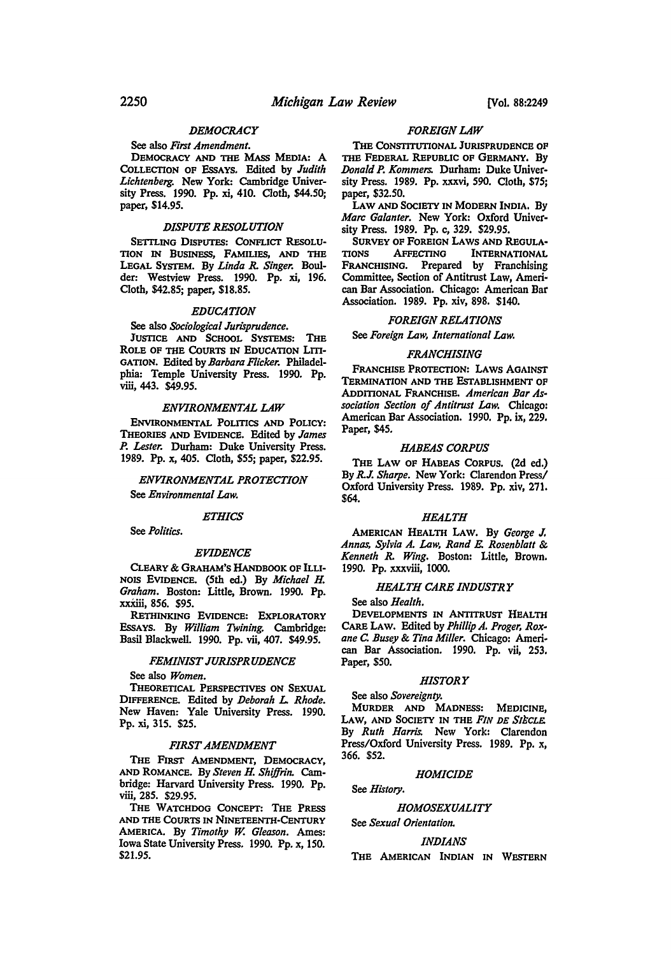#### *DEMOCRACY*

#### See also *First Amendment.*

DEMOCRACY AND THE MASS MEDIA: A CoLLECTION OF EssAYS. Edited by *Judith Lichtenberg.* New York: Cambridge University Press. 1990. Pp. xi, 410. Cloth, \$44.50; paper, \$14.95.

#### *DISPUTE RESOLUTION*

SETTLING DISPUTES: CONFLICT RESOLU-TION IN BUSINESS, FAMILIES, AND THE LEGAL SYSTEM. By *Linda* R. *Singer.* Boulder: Westview Press. 1990. Pp. xi, 196. Cloth, \$42.85; paper, \$18.85.

#### *EDUCATION*

#### See also *Sociological Jurisprudence.*

JUSTICE AND ScHOOL SYSTEMS: THE ROLE OF THE COURTS IN EDUCATION LITI-GATION. Edited by *Barbara Flicker.* Philadelphia: Temple University Press. 1990. Pp. viii, 443. \$49.95.

#### *ENVIRONMENTAL LAW*

ENVIRONMENTAL POLITICS AND POLICY: THEORIES AND EVIDENCE. Edited by *James*  P. *Lester.* Durham: Duke University Press. 1989. Pp. x, 405. Cloth, \$55; paper, \$22.95.

#### *ENVIRONMENTAL PROTECTION*  See *Environmental Law.*

See *Politics.* 

#### *EVIDENCE*

*ETHICS* 

CLEARY & GRAHAM'S HANDBOOK OF ILLI-NOIS EVIDENCE. (5th ed.) By *Michael* H. *Graham.* Boston: Little, Brown. 1990. Pp. xxXiii, 856. \$95.

RETHINKING EVIDENCE: EXPLORATORY EssAYS. By *William Twining.* Cambridge: Basil Blackwell. 1990. Pp. vii, 407. \$49.95.

#### *FEMINIST JURISPRUDENCE*

See also *Women.* 

THEORETICAL PERSPECTIVES ON SEXUAL DIFFERENCE. Edited by *Deborah L. Rhode.*  New Haven: Yale University Press. 1990. Pp. xi, 315. \$25.

#### *FIRST AMENDMENT*

THE FIRST AMENDMENT, DEMOCRACY, AND ROMANCE. By *Steven* H. *Shijfrin.* Cambridge: Harvard University Press. 1990. Pp. viii, 285. \$29.95.

THE WATCHDOG CoNCEPT: THE PRESS AND THE CoURTS IN NINETEENTH-CENTURY AMERICA. By *Timothy w. Gleason.* Ames: Iowa State University Press. 1990. Pp. x, 150. \$21.95.

#### *FOREIGN LAW*

THE CONSTITUTIONAL JURISPRUDENCE OF THE FEDERAL REPUBLIC OF GERMANY. By *Donald* P. *Kommers.* Durham: Duke University Press. 1989. Pp. xxxvi, 590. Cloth, \$75; paper, \$32.50.

LAW AND SOCIETY IN MODERN INDIA. By *Marc Galanter.* New York: Oxford Univer· sity Press. 1989. Pp. c, 329. \$29.95.

SURVEY OF FOREIGN LAWS AND REGULATIONS<br>TIONS AFFECTING INTERNATIONAL **INTERNATIONAL** FRANCHISING. Prepared by Franchising Committee, Section of Antitrust Law, Ameri· can Bar Association. Chicago: American Bar Association. 1989. Pp. xiv, 898. \$140.

#### *FOREIGN RELATIONS*

See *Foreign Law, International Law.* 

#### *FRANCHISING*

FRANCHISE PROTECTION: LAWS AGAINST TERMINATION AND THE ESTABLISHMENT OF ADDITIONAL FRANCHISE. *American Bar Association Section of Antitrust Law.* Chicago: American Bar Association. 1990. Pp. ix, 229. Paper, \$45.

#### *HABEAS CORPUS*

THE LAW OF HABEAS CoRPUS. (2d ed.) By R.J. *Sharpe.* New York: Clarendon Press/ Oxford University Press. 1989. Pp. xiv, 271. \$64.

#### *HEALTH*

AMERICAN HEALTH LAW. By *George* J. *Annas, Sylvia A. Law, Rand E. Rosenblatt* & *Kenneth* R. *Wing.* Boston: Little, Brown. 1990. Pp. xxxviii, 1000.

#### *HEALTH CARE INDUSTRY*

See also *Health.* 

DEVELOPMENTS IN ANTITRUST HEALTH CARE LAW. Edited by *Phillip A. Prager, Rox· ane* C *Busey* & *Tina Miller.* Chicago: Ameri· can Bar Association. 1990. Pp. vii, 253. Paper, \$50.

#### *HISTORY*

See also *Sovereignty.* 

MURDER AND MADNESS: MEDICINE, LAW, AND SOCIETY IN THE FIN DE SIECLE. By *Ruth Harris.* New York: Clarendon Press/Oxford University Press. 1989. Pp. x, 366. \$52.

#### *HOMICIDE*

See *History.* 

#### *HOMOSEXUALITY*

See *Sexual Orientation.* 

#### *IND/ANS*

THE AMERICAN INDIAN IN WESTERN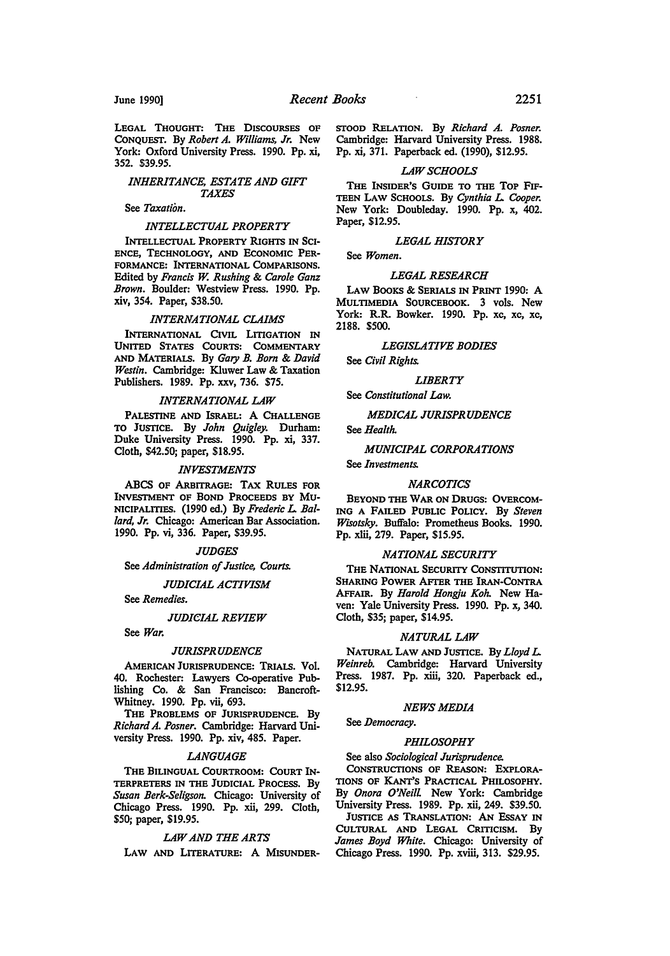LEGAL THOUGHT: THE DISCOURSES OF CoNQUEST. By *Robert A. Williams, Jr.* New York: Oxford University Press. 1990. Pp. xi, 352. \$39.95.

#### *INHERITANCE, ESTATE AND GIFF TAXES*

#### See *Taxation.*

#### *INTELLECTUAL PROPERTY*

INTELLECTUAL PROPERTY RIGHTS IN SCI-ENCE, TECHNOLOGY, AND EcONOMIC PER-FORMANCE: INTERNATIONAL CoMPARISONS. Edited by *Francis W. Rushing* & *Carole Ganz Brown.* Boulder: Westview Press. 1990. Pp. xiv, 354. Paper, \$38.50.

#### *INTERNATIONAL CLAIMS*

INTERNATIONAL CIVIL LITIGATION IN UNITED STATES CoURTS: CoMMENTARY AND MATERIALS. By *Gary B. Bom* & *David Westin.* Cambridge: Kluwer Law & Taxation Publishers. 1989. Pp. xxv, 736. \$75.

#### *INTERNATIONAL LAW*

PALESTINE AND ISRAEL: A CHALLENGE TO JUSTICE. By *John Quigley.* Durham: Duke University Press. 1990. Pp. xi, 337. Cloth, \$42.50; paper, \$18.95.

#### *INVESTMENTS*

ABCS OF ARBITRAGE: TAX RULES FOR INVESTMENT OF BOND PROCEEDS BY Mu-NICIPALmES. (1990 ed.) By *Frederic* L. *Ballard, Jr.* Chicago: American Bar Association. 1990. Pp. vi, 336. Paper, \$39.95.

#### *JUDGES*

See *Administration of Justice, Courts.* 

#### *JUDICIAL ACTIVISM*

See *Remedies.* 

#### **JUDICIAL REVIEW**

See *War.* 

#### *JURISPRUDENCE*

AMERICAN JURISPRUDENCE: TRIALS. Vol. 40. Rochester: Lawyers Co-operative Publishing Co. & San Francisco: Bancroft-Whitney. 1990. Pp. vii, 693.

THE PROBLEMS OF JURISPRUDENCE. By *Richard A. Posner.* Cambridge: Harvard University Press. 1990. Pp. xiv, 485. Paper.

#### *LANGUAGE*

THE BILINGUAL CoURTROOM: CoURT IN-TERPRETERS IN THE JUDICIAL PROCESS. By *Susan Berk-Seligson.* Chicago: University of Chicago Press. 1990. Pp. xii, 299. Cloth, \$50; paper, \$19.95.

#### *LAW AND THE ARTS*

LAW AND LITERATURE: A MISUNDER-

*STOOD* RELATION. By *Richard A. Posner.*  Cambridge: Harvard University Press. 1988. Pp. xi, 371. Paperback ed. (1990), \$12.95.

#### *LAW SCHOOLS*

THE INSIDER'S GUIDE TO THE TOP FIF-TEEN LA w SCHOOLS. By *Cynthia* L. *Cooper.*  New York: Doubleday. 1990. Pp. x, 402. Paper, \$12.95.

#### *LEGAL HISTORY*

### *LEGAL RESEARCH*

LAW BOOKS & SERIALS IN PRINT 1990: A MULTIMEDIA SOURCEBOOK. 3 vols. New York: R.R. Bowker. 1990. Pp. xc, xc, xc, 2188. \$500.

#### *LEGISLATIVE BODIES*

See *Civil Rights.* 

See *Women.* 

*LIBERTY* 

#### See *Constitutional Law.*

*MEDICAL JURISPRUDENCE* 

See *Health.* 

#### *MUNICIPAL CORPORATIONS*

See *Investments.* 

#### *NARCOTICS*

BEYOND THE WAR ON DRUGS: OVERCOM-ING A FAILED PUBLIC POLICY. By *Steven Wisotsky.* Buffalo: Prometheus Books. 1990. Pp. xiii, 279. Paper, \$15.95.

#### *NATIONAL SECURITY*

THE NATIONAL SECURITY CoNSTITUTION: SHARING POWER AFTER THE IRAN-CoNTRA AFFAIR. By *Harold Hongju Koh.* New Haven: Yale University Press. 1990. Pp. x, 340. Cloth, \$35; paper, \$14.95.

#### *NATURAL LAW*

NATURAL LAW AND JUSTICE. By *Lloyd* L. *Weinreb.* Cambridge: Harvard University Press. 1987. Pp. xiii, 320. Paperback ed., \$12.95.

#### *NEWS MEDIA*

See *Democracy.* 

#### *PHILOSOPHY*

#### See also *Sociological Jurisprudence.*

CoNSTRUCTIONS OF REASON: EXPLORA-TIONS OF KANT'S PRACTICAL PHILOSOPHY. By *Onora O'Neill* New York: Cambridge University Press. 1989. Pp. xii, 249. \$39.50. JUSTICE AS TRANSLATION: AN EssAY IN

CULTURAL AND LEGAL CRITICISM. By *James Boyd White.* Chicago: University of Chicago Press. 1990. Pp. xviii, 313. \$29.95.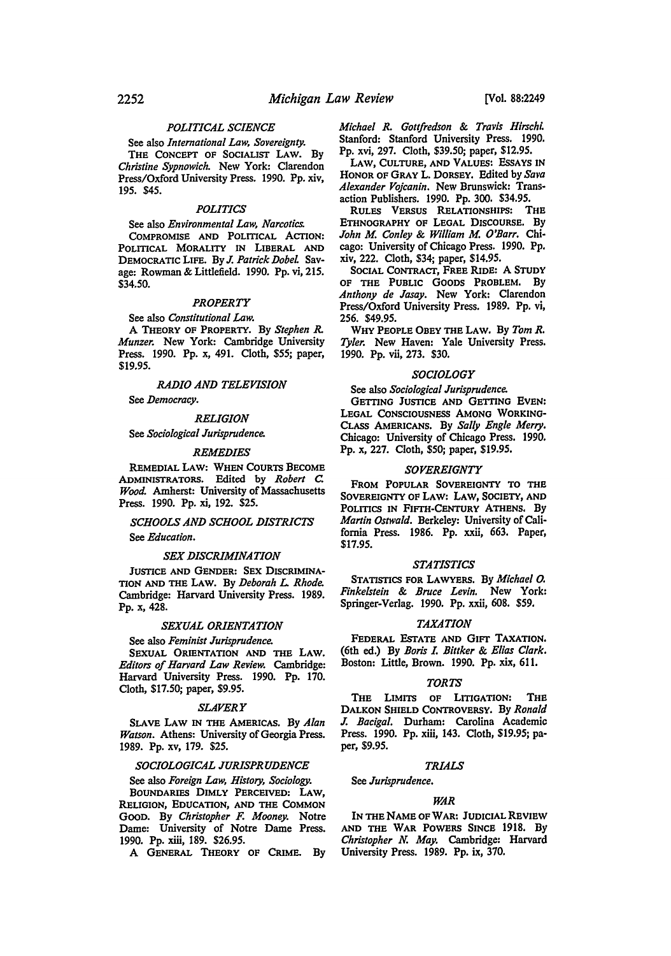#### *POLITICAL SCIENCE*

See also *International Law, Sovereignty.*  THE CONCEPT OF SOCIALIST LAW. By *Christine Sypnowich.* New York: Clarendon Press/Oxford University Press. 1990. Pp. xiv, 195. \$45.

#### *POLITICS*

See also *Environmental Law, Narcotics.* 

COMPROMISE AND POLITICAL ACTION: POLITICAL MORALITY IN LIBERAL AND DEMOCRATIC LIFE. By *J. Patrick Dobel* Savage: Rowman & Littlefield. 1990. Pp. vi, 215. \$34.50.

#### *PROPERTY*

See also *Constitutional Law.* 

A THEORY OF PROPERTY. By *Stephen R. Munzer.* New York: Cambridge University Press. 1990. Pp. x, 491. Cloth, \$55; paper, \$19.95.

*RADIO AND TELEVISION* 

See *Democracy.* 

*RELIGION* 

See *Sociological Jurisprudence.* 

#### *REMEDIES*

REMEDIAL LAW: WHEN CoURTS BECOME ADMINISTRATORS. Edited by *Robert c Wood.* Amherst: University of Massachusetts Press. 1990. Pp. xi, 192. \$25.

## *SCHOOLS AND SCHOOL DISTRICTS*

See *Education.* 

#### *SEX DISCRIMINATION*

JUSTICE AND GENDER: SEX DISCRIMINA-TION AND THE LAW. By *Deborah* L *Rhode.*  Cambridge: Harvard University Press. 1989. Pp. x, 428.

#### *SEXUAL ORIENTATION*

See also *Feminist Jurisprudence.* 

SEXUAL ORIENTATION AND THE LAW. *Editors of Harvard Law Review.* Cambridge: Harvard University Press. 1990. Pp. 170. Cloth, \$17.50; paper, \$9.95.

#### *SLAVERY*

SLAVE LAW IN THE AMERICAS. By *Alan Watson.* Athens: University of Georgia Press. 1989. Pp. xv, 179. \$25.

#### *SOCIOLOGICAL JURISPRUDENCE*

See also *Foreign Law, History, Sociology.*  BOUNDARIES DIMLY PERCEIVED: LAW, RELIGION, EDUCATION, AND THE CoMMON GOOD. By *Christopher F. Mooney.* Notre Dame: University of Notre Dame Press. 1990. Pp. xiii, 189. \$26.95.

A GENERAL THEORY OF CRIME. By

*Michael R. Gottfredson* & *Travis Hirschi.*  Stanford: Stanford University Press. 1990. Pp. xvi, 297. Cloth, \$39.50; paper, \$12.95.

LAW, CULTURE, AND VALUES: EssAYS IN HONOR OF GRAY L. DORSEY. Edited by *Sava Alexander Vojcanin.* New Brunswick: Transaction Publishers. 1990. Pp. 300. \$34.95.

RULES VERSUS RELATIONSHIPS: THE ETHNOGRAPHY OF LEGAL DISCOURSE. By *John M Conley* & *William M O'Barr.* Chicago: University of Chicago Press. 1990. Pp. xiv, 222. Cloth, \$34; paper, \$14.95.

SOCIAL CONTRACT, FREE RIDE: A STUDY OF THE PUBLIC GOODS PROBLEM. By *Anthony de Jasay.* New York: Clarendon Press/Oxford University Press. 1989. Pp. vi, 256. \$49.95.

WHY PEOPLE OBEY THE LAW. By *Tom R. Tyler.* New Haven: Yale University Press. 1990. Pp. vii, 273. \$30.

#### *SOCIOLOGY*

See also *Sociological Jurisprudence.* 

GETIING JUSTICE AND GETTING EVEN: LEGAL CoNSCIOUSNESS AMONG WORKING-CLASS AMERICANS. By *Sally Engle Merry.*  Chicago: University of Chicago Press. 1990. Pp. x, 227. Cloth, \$50; paper, \$19.95.

#### *SOVEREIGNTY*

FROM POPULAR SOVEREIGNTY TO THE SOVEREIGNTY OF LAW: LAW, SOCIETY, AND POLITICS IN FIFTH-CENTURY ATHENS. By *Martin Ostwald.* Berkeley: University of California Press. 1986. Pp. xxii, 663. Paper, \$17.95.

#### *STATISTICS*

STATISTICS FOR LAWYERS. By *Michael o. Finkelstein* & *Bruce Levin.* New York: Springer-Verlag. 1990. Pp. xxii, 608. \$59.

#### *TAXATION*

FEDERAL ESTATE AND GIFT TAXATION. (6th ed.) By *Boris* L *Bittker* & *Elias Clark.*  Boston: Little, Brown. 1990. Pp. xix, 611.

#### *TORTS*

THE LIMITS OF LITIGATION: THE DALKON SHIELD CONTROVERSY. By *Ronald J. Bacigal.* Durham: Carolina Academic Press. 1990. Pp. xiii, 143. Cloth, \$19.95; paper, \$9.95.

#### *TRIALS*

See *Jurisprudence.* 

#### *WAR*

IN THE NAME OF WAR: JUDICIAL REVIEW AND THE WAR POWERS SINCE 1918. By *Christopher N. May.* Cambridge: Harvard University Press. 1989. Pp. ix, 370.